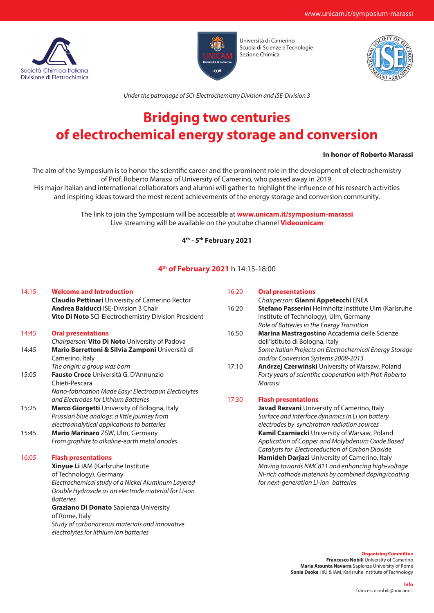



Università di Camerino Scuola di Scienze e Tecnologie Sezione Chimica



*Under the patronage of SCI-Electrochemistry Division and ISE-Division 3*

# **Bridging two centuries of electrochemical energy storage and conversion**

#### **In honor of Roberto Marassi**

The aim of the Symposium is to honor the scientific career and the prominent role in the development of electrochemistry of Prof. Roberto Marassi of University of Camerino, who passed away in 2019.

His major Italian and international collaborators and alumni will gather to highlight the influence of his research activities and inspiring ideas toward the most recent achievements of the energy storage and conversion community.

> The link to join the Symposium will be accessible at **www.unicam.it/symposium-marassi** Live streaming will be available on the youtube channel **Videounicam**

## **4th - 5th February 2021**

### **4th of February 2021** h 14:15-18:00

#### 14:15 **Welcome and Introduction**

**Claudio Pettinari** University of Camerino Rector **Andrea Balducci** ISE-Division 3 Chair **Vito Di Noto** SCI-Electrochemistry Division President

#### 14:45 **Oral presentations** *Chairperson:* **Vito Di Noto** University of Padova 14:45 **Mario Berrettoni & Silvia Zamponi** Università di Camerino, Italy *The origin: a group was born* 15:05 **Fausto Croce** Università G. D'Annunzio Chieti-Pescara *Nano-fabrication Made Easy: Electrospun Electrolytes and Electrodes for Lithium Batteries* 15:25 **Marco Giorgetti** University of Bologna, Italy *Prussian blue analogs: a little journey from electroanalytical applications to batteries* 15:45 **Mario Marinaro** ZSW, Ulm, Germany *From graphite to alkaline-earth metal anodes*

#### 16:05 **Flash presentations**

**Xinyue Li** IAM (Karlsruhe Institute of Technology), Germany *Electrochemical study of a Nickel Aluminum Layered Double Hydroxide as an electrode material for Li-ion Batteries* **Graziano Di Donato** Sapienza University of Rome, Italy *Study of carbonaceous materials and innovative electrolytes for lithium ion batteries*

| 16:20 | <b>Oral presentations</b>                                |
|-------|----------------------------------------------------------|
|       | Chairperson: Gianni Appetecchi ENEA                      |
| 16:20 | Stefano Passerini Helmholtz Institute Ulm (Karlsruhe     |
|       | Institute of Technology), Ulm, Germany                   |
|       | Role of Batteries in the Energy Transition               |
| 16:50 | Marina Mastragostino Accademia delle Scienze             |
|       | dell'Istituto di Bologna, Italy                          |
|       | Some Italian Projects on Electrochemical Energy Storage  |
|       | and/or Conversion Systems 2008-2013                      |
| 17:10 | <b>Andrzej Czerwiński</b> University of Warsaw, Poland   |
|       | Forty years of scientific cooperation with Prof. Roberto |
|       | Marassi                                                  |
| 17:30 | <b>Flash presentations</b>                               |
|       | <b>Javad Rezvani</b> University of Camerino, Italy       |
|       | Surface and interface dynamics in Li ion battery         |
|       | electrodes by synchrotron radiation sources              |
|       | <b>Kamil Czarniecki</b> University of Warsaw, Poland     |
|       | Application of Copper and Molybdenum Oxide Based         |
|       | Catalysts for Electroreduction of Carbon Dioxide         |
|       | Hamideh Darjazi University of Camerino, Italy            |
|       | Moving towards NMC811 and enhancing high-voltage         |

**Organizing Committee Francesco Nobili** University of Camerino **Maria Assunta Navarra** Sapienza University of Rome **Sonia Dsoke** HIU & IAM, Karlsruhe Institute of Technology

*Ni-rich cathode materials by combined doping/coating* 

*for next-generation Li-ion batteries*